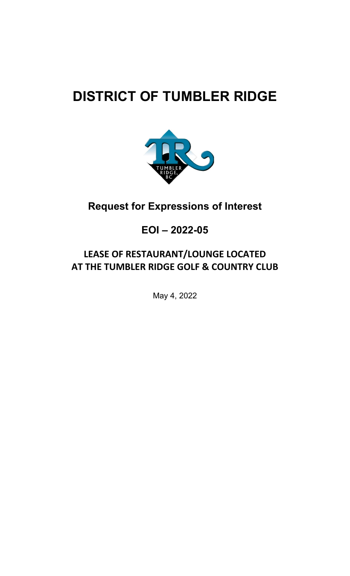# **DISTRICT OF TUMBLER RIDGE**



## **Request for Expressions of Interest**

### **EOI – 2022-05**

### **LEASE OF RESTAURANT/LOUNGE LOCATED AT THE TUMBLER RIDGE GOLF & COUNTRY CLUB**

May 4, 2022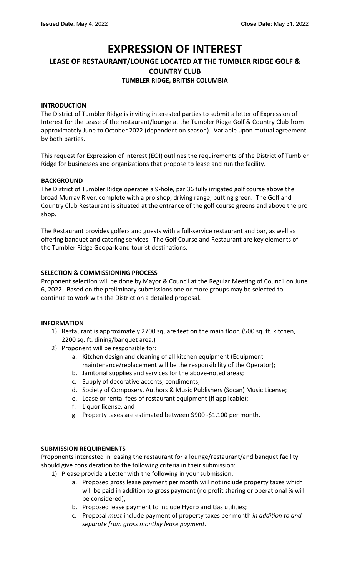### **EXPRESSION OF INTEREST**

### **LEASE OF RESTAURANT/LOUNGE LOCATED AT THE TUMBLER RIDGE GOLF & COUNTRY CLUB**

#### **TUMBLER RIDGE, BRITISH COLUMBIA**

#### **INTRODUCTION**

The District of Tumbler Ridge is inviting interested parties to submit a letter of Expression of Interest for the Lease of the restaurant/lounge at the Tumbler Ridge Golf & Country Club from approximately June to October 2022 (dependent on season). Variable upon mutual agreement by both parties.

This request for Expression of Interest (EOI) outlines the requirements of the District of Tumbler Ridge for businesses and organizations that propose to lease and run the facility.

#### **BACKGROUND**

The District of Tumbler Ridge operates a 9-hole, par 36 fully irrigated golf course above the broad Murray River, complete with a pro shop, driving range, putting green. The Golf and Country Club Restaurant is situated at the entrance of the golf course greens and above the pro shop.

The Restaurant provides golfers and guests with a full-service restaurant and bar, as well as offering banquet and catering services. The Golf Course and Restaurant are key elements of the Tumbler Ridge Geopark and tourist destinations.

#### **SELECTION & COMMISSIONING PROCESS**

Proponent selection will be done by Mayor & Council at the Regular Meeting of Council on June 6, 2022. Based on the preliminary submissions one or more groups may be selected to continue to work with the District on a detailed proposal.

#### **INFORMATION**

- 1) Restaurant is approximately 2700 square feet on the main floor. (500 sq. ft. kitchen, 2200 sq. ft. dining/banquet area.)
- 2) Proponent will be responsible for:
	- a. Kitchen design and cleaning of all kitchen equipment (Equipment maintenance/replacement will be the responsibility of the Operator);
	- b. Janitorial supplies and services for the above-noted areas;
	- c. Supply of decorative accents, condiments;
	- d. Society of Composers, Authors & Music Publishers (Socan) Music License;
	- e. Lease or rental fees of restaurant equipment (if applicable);
	- f. Liquor license; and
	- g. Property taxes are estimated between \$900 -\$1,100 per month.

#### **SUBMISSION REQUIREMENTS**

Proponents interested in leasing the restaurant for a lounge/restaurant/and banquet facility should give consideration to the following criteria in their submission:

- 1) Please provide a Letter with the following in your submission:
	- a. Proposed gross lease payment per month will not include property taxes which will be paid in addition to gross payment (no profit sharing or operational % will be considered);
	- b. Proposed lease payment to include Hydro and Gas utilities;
	- c. Proposal *must* include payment of property taxes per month *in addition to and separate from gross monthly lease payment*.